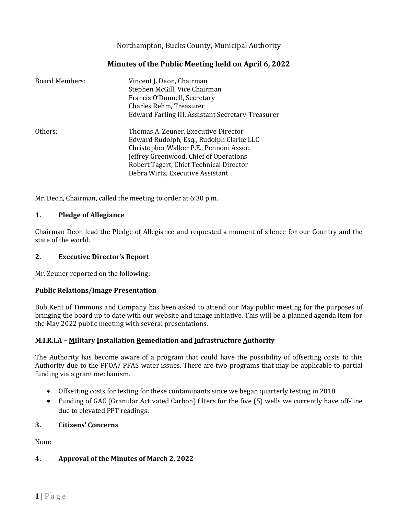Northampton, Bucks County, Municipal Authority

### **Minutes of the Public Meeting held on April 6, 2022**

| <b>Board Members:</b> | Vincent J. Deon, Chairman<br>Stephen McGill, Vice Chairman<br>Francis O'Donnell, Secretary<br>Charles Rehm, Treasurer<br>Edward Farling III, Assistant Secretary-Treasurer                                                                           |
|-----------------------|------------------------------------------------------------------------------------------------------------------------------------------------------------------------------------------------------------------------------------------------------|
| Others:               | Thomas A. Zeuner, Executive Director<br>Edward Rudolph, Esq., Rudolph Clarke LLC<br>Christopher Walker P.E., Pennoni Assoc.<br>Jeffrey Greenwood, Chief of Operations<br>Robert Tagert, Chief Technical Director<br>Debra Wirtz, Executive Assistant |

Mr. Deon, Chairman, called the meeting to order at 6:30 p.m.

#### **1. Pledge of Allegiance**

Chairman Deon lead the Pledge of Allegiance and requested a moment of silence for our Country and the state of the world.

#### **2. Executive Director's Report**

Mr. Zeuner reported on the following:

#### **Public Relations/Image Presentation**

Bob Kent of Timmons and Company has been asked to attend our May public meeting for the purposes of bringing the board up to date with our website and image initiative. This will be a planned agenda item for the May 2022 public meeting with several presentations.

#### **M.I.R.I.A – Military Installation Remediation and Infrastructure Authority**

The Authority has become aware of a program that could have the possibility of offsetting costs to this Authority due to the PFOA/ PFAS water issues. There are two programs that may be applicable to partial funding via a grant mechanism.

- Offsetting costs for testing for these contaminants since we began quarterly testing in 2018
- Funding of GAC (Granular Activated Carbon) filters for the five (5) wells we currently have off-line due to elevated PPT readings.

#### **3. Citizens' Concerns**

None

#### **4. Approval of the Minutes of March 2, 2022**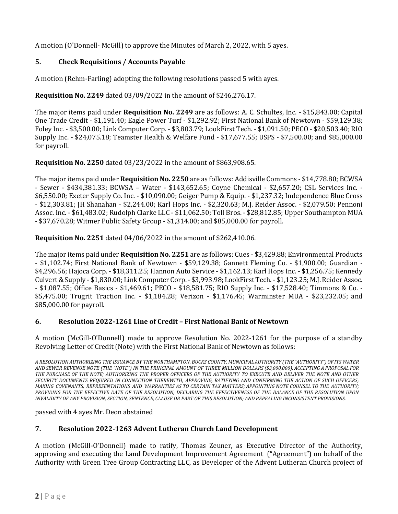A motion (O'Donnell- McGill) to approve the Minutes of March 2, 2022, with 5 ayes.

## **5. Check Requisitions / Accounts Payable**

A motion (Rehm-Farling) adopting the following resolutions passed 5 with ayes.

## **Requisition No. 2249** dated 03/09/2022 in the amount of \$246,276.17.

The major items paid under **Requisition No. 2249** are as follows: A. C. Schultes, Inc. - \$15,843.00; Capital One Trade Credit - \$1,191.40; Eagle Power Turf - \$1,292.92; First National Bank of Newtown - \$59,129.38; Foley Inc. - \$3,500.00; Link Computer Corp. - \$3,803.79; LookFirst Tech. - \$1,091.50; PECO - \$20,503.40; RIO Supply Inc. - \$24,075.18; Teamster Health & Welfare Fund - \$17,677.55; USPS - \$7,500.00; and \$85,000.00 for payroll.

## **Requisition No. 2250** dated 03/23/2022 in the amount of \$863,908.65.

The major items paid under **Requisition No. 2250** are as follows: Addisville Commons - \$14,778.80; BCWSA - Sewer - \$434,381.33; BCWSA – Water - \$143,652.65; Coyne Chemical - \$2,657.20; CSL Services Inc. - \$6,550.00; Exeter Supply Co. Inc. - \$10,090.00; Geiger Pump & Equip. - \$1,237.32; Independence Blue Cross - \$12,303.81; JH Shanahan - \$2,244.00; Karl Hops Inc. - \$2,320.63; M.J. Reider Assoc. - \$2,079.50; Pennoni Assoc. Inc. - \$61,483.02; Rudolph Clarke LLC - \$11,062.50; Toll Bros. - \$28,812.85; Upper Southampton MUA - \$37,670.28; Witmer Public Safety Group - \$1,314.00; and \$85,000.00 for payroll.

### **Requisition No. 2251** dated 04/06/2022 in the amount of \$262,410.06.

The major items paid under **Requisition No. 2251** are as follows: Cues - \$3,429.88; Environmental Products - \$1,102.74; First National Bank of Newtown - \$59,129.38; Gannett Fleming Co. - \$1,900.00; Guardian - \$4,296.56; Hajoca Corp. - \$18,311.25; Hannon Auto Service - \$1,162.13; Karl Hops Inc. - \$1,256.75; Kennedy Culvert & Supply - \$1,830.00; Link Computer Corp. - \$3,993.98; LookFirst Tech. - \$1,123.25; M.J. Reider Assoc. - \$1,087.55; Office Basics - \$1,469.61; PECO - \$18,581.75; RIO Supply Inc. - \$17,528.40; Timmons & Co. - \$5,475.00; Trugrit Traction Inc. - \$1,184.28; Verizon - \$1,176.45; Warminster MUA - \$23,232.05; and \$85,000.00 for payroll.

### **6. Resolution 2022-1261 Line of Credit – First National Bank of Newtown**

A motion (McGill-O'Donnell) made to approve Resolution No. 2022-1261 for the purpose of a standby Revolving Letter of Credit (Note) with the First National Bank of Newtown as follows:

*A RESOLUTION AUTHORIZING THE ISSUANCE BY THE NORTHAMPTON, BUCKS COUNTY, MUNICIPAL AUTHORITY (THE"AUTHORITY")OF ITS WATER AND SEWER REVENUE NOTE (THE "NOTE") IN THE PRINCIPAL AMOUNT OF THREE MILLION DOLLARS (\$3,000,000), ACCEPTING A PROPOSAL FOR THE PURCHASE OF THE NOTE; AUTHORIZING THE PROPER OFFICERS OF THE AUTHORITY TO EXECUTE AND DELIVER THE NOTE AND OTHER SECURITY DOCUMENTS REQUIRED IN CONNECTION THEREWITH; APPROVING, RATIFYING AND CONFIRMING THE ACTION OF SUCH OFFICERS; MAKING COVENANTS, REPRESENTATIONS AND WARRANTIES AS TO CERTAIN TAX MATTERS; APPOINTING NOTE COUNSEL TO THE AUTHORITY; PROVIDING FOR THE EFFECTIVE DATE OF THE RESOLUTION; DECLARING THE EFFECTIVENESS OF THE BALANCE OF THE RESOLUTION UPON INVALIDITY OF ANY PROVISION, SECTION, SENTENCE, CLAUSE OR PART OF THIS RESOLUTION; AND REPEALING INCONSISTENT PROVISIONS.*

passed with 4 ayes Mr. Deon abstained

# **7. Resolution 2022-1263 Advent Lutheran Church Land Development**

A motion (McGill-O'Donnell) made to ratify, Thomas Zeuner, as Executive Director of the Authority, approving and executing the Land Development Improvement Agreement ("Agreement") on behalf of the Authority with Green Tree Group Contracting LLC, as Developer of the Advent Lutheran Church project of